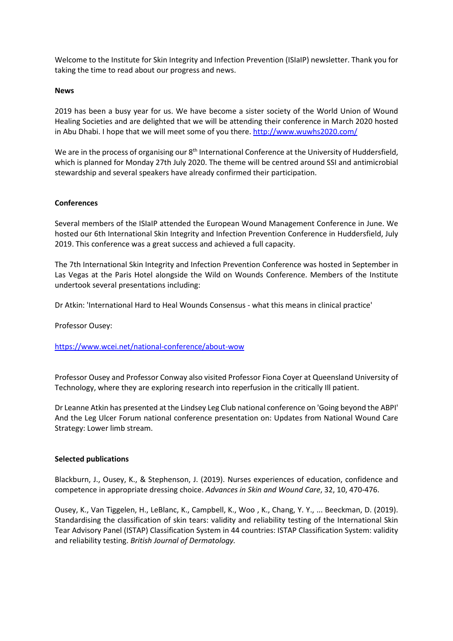Welcome to the Institute for Skin Integrity and Infection Prevention (ISIaIP) newsletter. Thank you for taking the time to read about our progress and news.

## **News**

2019 has been a busy year for us. We have become a sister society of the World Union of Wound Healing Societies and are delighted that we will be attending their conference in March 2020 hosted in Abu Dhabi. I hope that we will meet some of you there.<http://www.wuwhs2020.com/>

We are in the process of organising our 8<sup>th</sup> International Conference at the University of Huddersfield, which is planned for Monday 27th July 2020. The theme will be centred around SSI and antimicrobial stewardship and several speakers have already confirmed their participation.

## **Conferences**

Several members of the ISIaIP attended the European Wound Management Conference in June. We hosted our 6th International Skin Integrity and Infection Prevention Conference in Huddersfield, July 2019. This conference was a great success and achieved a full capacity.

The 7th International Skin Integrity and Infection Prevention Conference was hosted in September in Las Vegas at the Paris Hotel alongside the Wild on Wounds Conference. Members of the Institute undertook several presentations including:

Dr Atkin: 'International Hard to Heal Wounds Consensus - what this means in clinical practice'

Professor Ousey:

<https://www.wcei.net/national-conference/about-wow>

Professor Ousey and Professor Conway also visited Professor Fiona Coyer at Queensland University of Technology, where they are exploring research into reperfusion in the critically Ill patient.

Dr Leanne Atkin has presented at the Lindsey Leg Club national conference on 'Going beyond the ABPI' And the Leg Ulcer Forum national conference presentation on: Updates from National Wound Care Strategy: Lower limb stream.

## **Selected publications**

Blackburn, J., Ousey, K., & Stephenson, J. (2019). Nurses experiences of education, confidence and competence in appropriate dressing choice. *Advances in Skin and Wound Care*, 32, 10, 470-476.

Ousey, K., Van Tiggelen, H., LeBlanc, K., Campbell, K., Woo , K., Chang, Y. Y., ... Beeckman, D. (2019). Standardising the classification of skin tears: validity and reliability testing of the International Skin Tear Advisory Panel (ISTAP) Classification System in 44 countries: ISTAP Classification System: validity and reliability testing. *British Journal of Dermatology.*